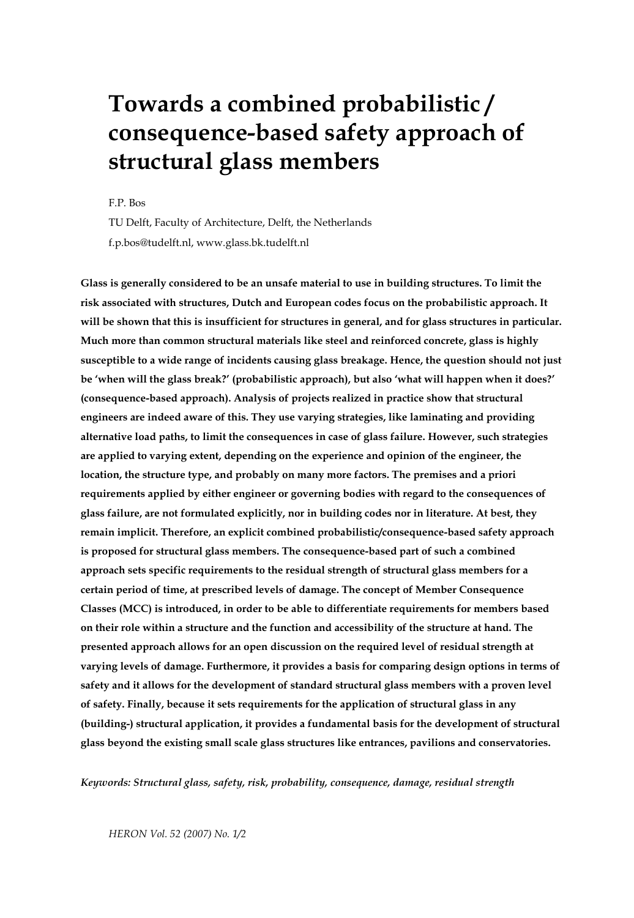# **Towards a combined probabilistic / consequence-based safety approach of structural glass members**

F.P. Bos

TU Delft, Faculty of Architecture, Delft, the Netherlands f.p.bos@tudelft.nl, www.glass.bk.tudelft.nl

**Glass is generally considered to be an unsafe material to use in building structures. To limit the risk associated with structures, Dutch and European codes focus on the probabilistic approach. It will be shown that this is insufficient for structures in general, and for glass structures in particular. Much more than common structural materials like steel and reinforced concrete, glass is highly susceptible to a wide range of incidents causing glass breakage. Hence, the question should not just be 'when will the glass break?' (probabilistic approach), but also 'what will happen when it does?' (consequence-based approach). Analysis of projects realized in practice show that structural engineers are indeed aware of this. They use varying strategies, like laminating and providing alternative load paths, to limit the consequences in case of glass failure. However, such strategies are applied to varying extent, depending on the experience and opinion of the engineer, the location, the structure type, and probably on many more factors. The premises and a priori requirements applied by either engineer or governing bodies with regard to the consequences of glass failure, are not formulated explicitly, nor in building codes nor in literature. At best, they remain implicit. Therefore, an explicit combined probabilistic/consequence-based safety approach is proposed for structural glass members. The consequence-based part of such a combined approach sets specific requirements to the residual strength of structural glass members for a certain period of time, at prescribed levels of damage. The concept of Member Consequence Classes (MCC) is introduced, in order to be able to differentiate requirements for members based on their role within a structure and the function and accessibility of the structure at hand. The presented approach allows for an open discussion on the required level of residual strength at varying levels of damage. Furthermore, it provides a basis for comparing design options in terms of safety and it allows for the development of standard structural glass members with a proven level of safety. Finally, because it sets requirements for the application of structural glass in any (building-) structural application, it provides a fundamental basis for the development of structural glass beyond the existing small scale glass structures like entrances, pavilions and conservatories.** 

*Keywords: Structural glass, safety, risk, probability, consequence, damage, residual strength*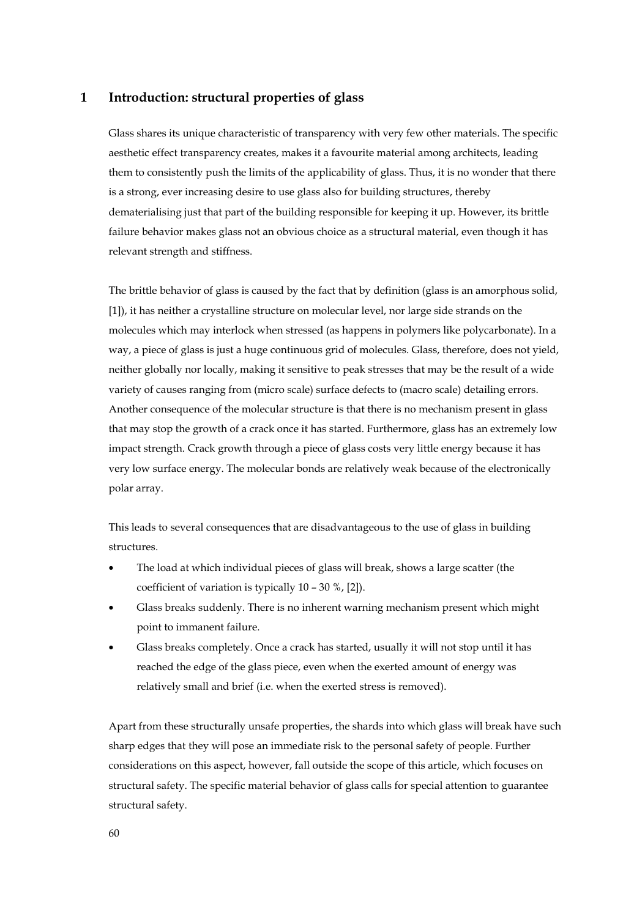### **1 Introduction: structural properties of glass**

Glass shares its unique characteristic of transparency with very few other materials. The specific aesthetic effect transparency creates, makes it a favourite material among architects, leading them to consistently push the limits of the applicability of glass. Thus, it is no wonder that there is a strong, ever increasing desire to use glass also for building structures, thereby dematerialising just that part of the building responsible for keeping it up. However, its brittle failure behavior makes glass not an obvious choice as a structural material, even though it has relevant strength and stiffness.

The brittle behavior of glass is caused by the fact that by definition (glass is an amorphous solid, [1]), it has neither a crystalline structure on molecular level, nor large side strands on the molecules which may interlock when stressed (as happens in polymers like polycarbonate). In a way, a piece of glass is just a huge continuous grid of molecules. Glass, therefore, does not yield, neither globally nor locally, making it sensitive to peak stresses that may be the result of a wide variety of causes ranging from (micro scale) surface defects to (macro scale) detailing errors. Another consequence of the molecular structure is that there is no mechanism present in glass that may stop the growth of a crack once it has started. Furthermore, glass has an extremely low impact strength. Crack growth through a piece of glass costs very little energy because it has very low surface energy. The molecular bonds are relatively weak because of the electronically polar array.

This leads to several consequences that are disadvantageous to the use of glass in building structures.

- The load at which individual pieces of glass will break, shows a large scatter (the coefficient of variation is typically 10 – 30 %, [2]).
- Glass breaks suddenly. There is no inherent warning mechanism present which might point to immanent failure.
- Glass breaks completely. Once a crack has started, usually it will not stop until it has reached the edge of the glass piece, even when the exerted amount of energy was relatively small and brief (i.e. when the exerted stress is removed).

Apart from these structurally unsafe properties, the shards into which glass will break have such sharp edges that they will pose an immediate risk to the personal safety of people. Further considerations on this aspect, however, fall outside the scope of this article, which focuses on structural safety. The specific material behavior of glass calls for special attention to guarantee structural safety.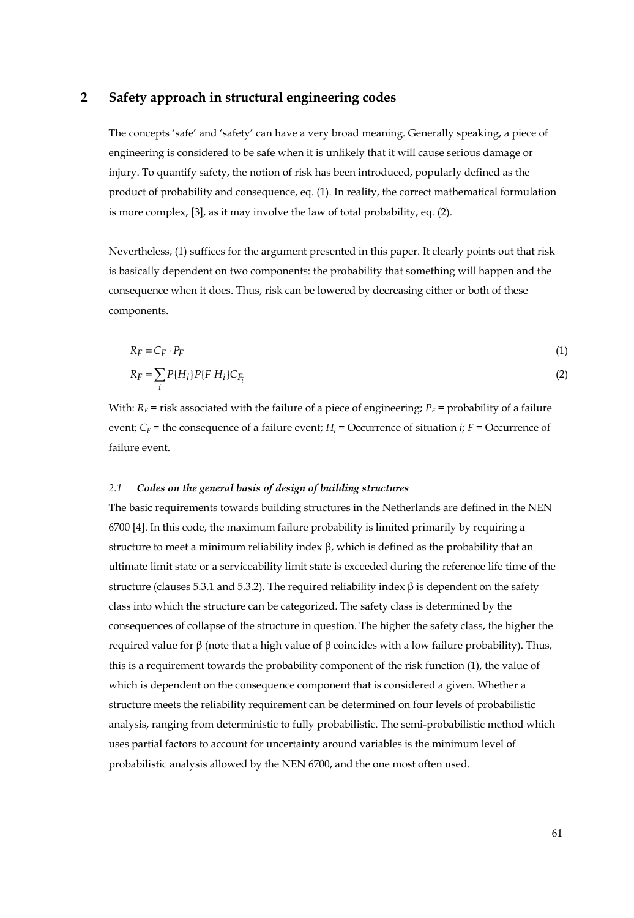#### **2 Safety approach in structural engineering codes**

The concepts 'safe' and 'safety' can have a very broad meaning. Generally speaking, a piece of engineering is considered to be safe when it is unlikely that it will cause serious damage or injury. To quantify safety, the notion of risk has been introduced, popularly defined as the product of probability and consequence, eq. (1). In reality, the correct mathematical formulation is more complex, [3], as it may involve the law of total probability, eq. (2).

Nevertheless, (1) suffices for the argument presented in this paper. It clearly points out that risk is basically dependent on two components: the probability that something will happen and the consequence when it does. Thus, risk can be lowered by decreasing either or both of these components.

$$
R_F = C_F \cdot P_F
$$
  
\n
$$
R_F = \sum P\{H_i\} P\{F|H_i\} C_{F_i}
$$
\n(1)

With:  $R_F$  = risk associated with the failure of a piece of engineering;  $P_F$  = probability of a failure event;  $C_F$  = the consequence of a failure event;  $H_i$  = Occurrence of situation *i*;  $F =$  Occurrence of failure event.

#### *2.1 Codes on the general basis of design of building structures*

*i*

The basic requirements towards building structures in the Netherlands are defined in the NEN 6700 [4]. In this code, the maximum failure probability is limited primarily by requiring a structure to meet a minimum reliability index  $\beta$ , which is defined as the probability that an ultimate limit state or a serviceability limit state is exceeded during the reference life time of the structure (clauses 5.3.1 and 5.3.2). The required reliability index  $\beta$  is dependent on the safety class into which the structure can be categorized. The safety class is determined by the consequences of collapse of the structure in question. The higher the safety class, the higher the required value for β (note that a high value of β coincides with a low failure probability). Thus, this is a requirement towards the probability component of the risk function (1), the value of which is dependent on the consequence component that is considered a given. Whether a structure meets the reliability requirement can be determined on four levels of probabilistic analysis, ranging from deterministic to fully probabilistic. The semi-probabilistic method which uses partial factors to account for uncertainty around variables is the minimum level of probabilistic analysis allowed by the NEN 6700, and the one most often used.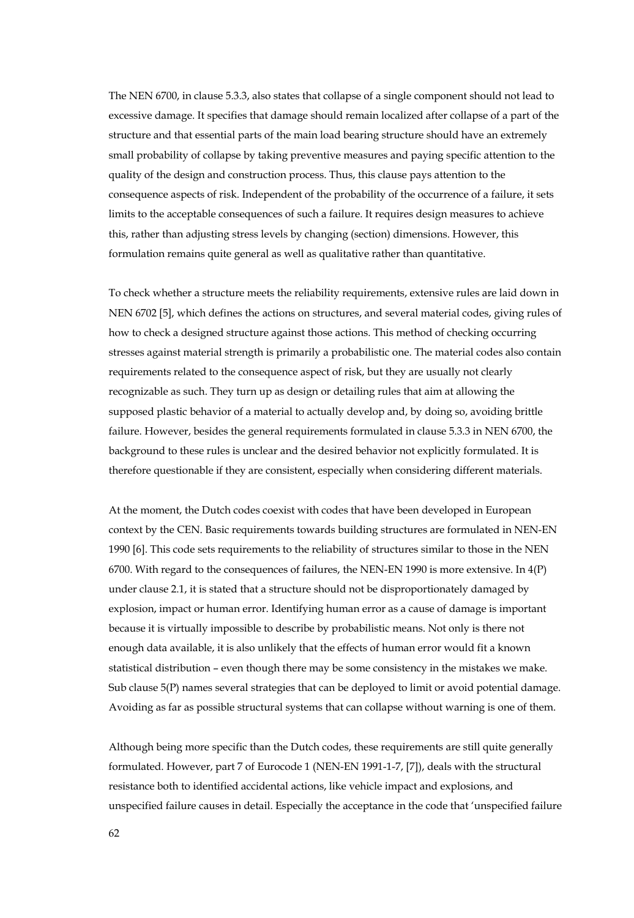The NEN 6700, in clause 5.3.3, also states that collapse of a single component should not lead to excessive damage. It specifies that damage should remain localized after collapse of a part of the structure and that essential parts of the main load bearing structure should have an extremely small probability of collapse by taking preventive measures and paying specific attention to the quality of the design and construction process. Thus, this clause pays attention to the consequence aspects of risk. Independent of the probability of the occurrence of a failure, it sets limits to the acceptable consequences of such a failure. It requires design measures to achieve this, rather than adjusting stress levels by changing (section) dimensions. However, this formulation remains quite general as well as qualitative rather than quantitative.

To check whether a structure meets the reliability requirements, extensive rules are laid down in NEN 6702 [5], which defines the actions on structures, and several material codes, giving rules of how to check a designed structure against those actions. This method of checking occurring stresses against material strength is primarily a probabilistic one. The material codes also contain requirements related to the consequence aspect of risk, but they are usually not clearly recognizable as such. They turn up as design or detailing rules that aim at allowing the supposed plastic behavior of a material to actually develop and, by doing so, avoiding brittle failure. However, besides the general requirements formulated in clause 5.3.3 in NEN 6700, the background to these rules is unclear and the desired behavior not explicitly formulated. It is therefore questionable if they are consistent, especially when considering different materials.

At the moment, the Dutch codes coexist with codes that have been developed in European context by the CEN. Basic requirements towards building structures are formulated in NEN-EN 1990 [6]. This code sets requirements to the reliability of structures similar to those in the NEN 6700. With regard to the consequences of failures, the NEN-EN 1990 is more extensive. In 4(P) under clause 2.1, it is stated that a structure should not be disproportionately damaged by explosion, impact or human error. Identifying human error as a cause of damage is important because it is virtually impossible to describe by probabilistic means. Not only is there not enough data available, it is also unlikely that the effects of human error would fit a known statistical distribution – even though there may be some consistency in the mistakes we make. Sub clause 5(P) names several strategies that can be deployed to limit or avoid potential damage. Avoiding as far as possible structural systems that can collapse without warning is one of them.

Although being more specific than the Dutch codes, these requirements are still quite generally formulated. However, part 7 of Eurocode 1 (NEN-EN 1991-1-7, [7]), deals with the structural resistance both to identified accidental actions, like vehicle impact and explosions, and unspecified failure causes in detail. Especially the acceptance in the code that 'unspecified failure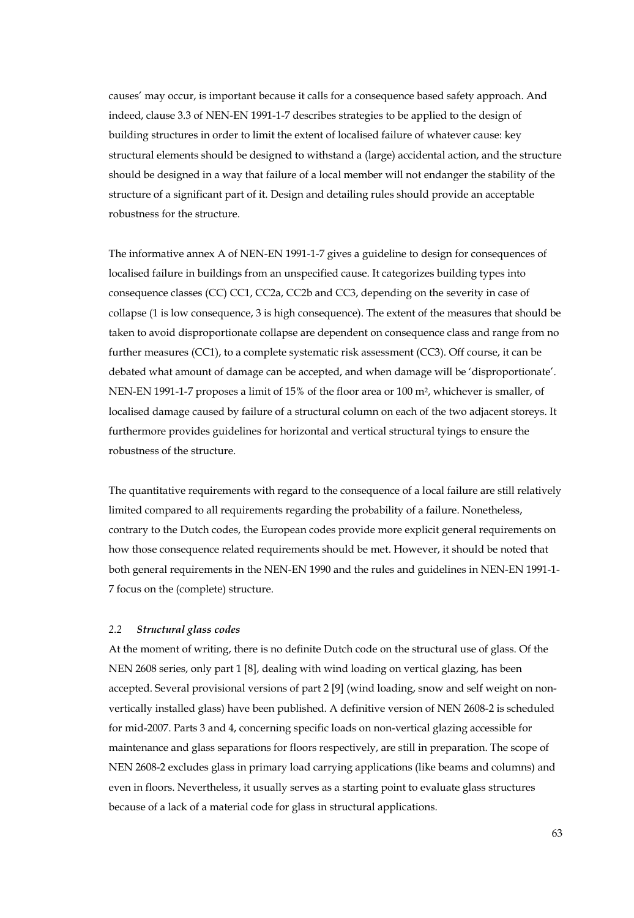causes' may occur, is important because it calls for a consequence based safety approach. And indeed, clause 3.3 of NEN-EN 1991-1-7 describes strategies to be applied to the design of building structures in order to limit the extent of localised failure of whatever cause: key structural elements should be designed to withstand a (large) accidental action, and the structure should be designed in a way that failure of a local member will not endanger the stability of the structure of a significant part of it. Design and detailing rules should provide an acceptable robustness for the structure.

The informative annex A of NEN-EN 1991-1-7 gives a guideline to design for consequences of localised failure in buildings from an unspecified cause. It categorizes building types into consequence classes (CC) CC1, CC2a, CC2b and CC3, depending on the severity in case of collapse (1 is low consequence, 3 is high consequence). The extent of the measures that should be taken to avoid disproportionate collapse are dependent on consequence class and range from no further measures (CC1), to a complete systematic risk assessment (CC3). Off course, it can be debated what amount of damage can be accepted, and when damage will be 'disproportionate'. NEN-EN 1991-1-7 proposes a limit of 15% of the floor area or 100 m2, whichever is smaller, of localised damage caused by failure of a structural column on each of the two adjacent storeys. It furthermore provides guidelines for horizontal and vertical structural tyings to ensure the robustness of the structure.

The quantitative requirements with regard to the consequence of a local failure are still relatively limited compared to all requirements regarding the probability of a failure. Nonetheless, contrary to the Dutch codes, the European codes provide more explicit general requirements on how those consequence related requirements should be met. However, it should be noted that both general requirements in the NEN-EN 1990 and the rules and guidelines in NEN-EN 1991-1- 7 focus on the (complete) structure.

#### *2.2 Structural glass codes*

At the moment of writing, there is no definite Dutch code on the structural use of glass. Of the NEN 2608 series, only part 1 [8], dealing with wind loading on vertical glazing, has been accepted. Several provisional versions of part 2 [9] (wind loading, snow and self weight on nonvertically installed glass) have been published. A definitive version of NEN 2608-2 is scheduled for mid-2007. Parts 3 and 4, concerning specific loads on non-vertical glazing accessible for maintenance and glass separations for floors respectively, are still in preparation. The scope of NEN 2608-2 excludes glass in primary load carrying applications (like beams and columns) and even in floors. Nevertheless, it usually serves as a starting point to evaluate glass structures because of a lack of a material code for glass in structural applications.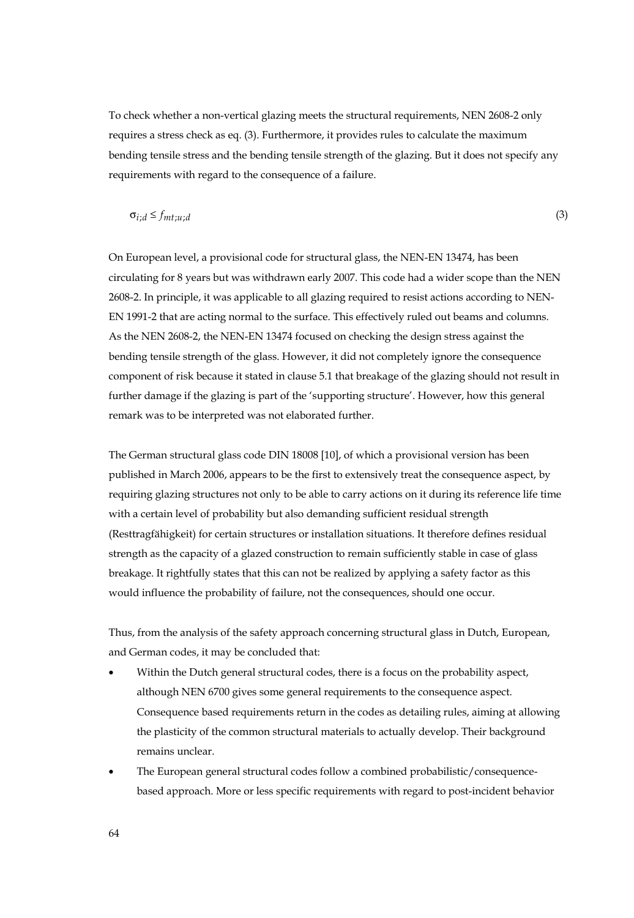To check whether a non-vertical glazing meets the structural requirements, NEN 2608-2 only requires a stress check as eq. (3). Furthermore, it provides rules to calculate the maximum bending tensile stress and the bending tensile strength of the glazing. But it does not specify any requirements with regard to the consequence of a failure.

$$
\sigma_{i,d} \le f_{mt;u,d} \tag{3}
$$

On European level, a provisional code for structural glass, the NEN-EN 13474, has been circulating for 8 years but was withdrawn early 2007. This code had a wider scope than the NEN 2608-2. In principle, it was applicable to all glazing required to resist actions according to NEN-EN 1991-2 that are acting normal to the surface. This effectively ruled out beams and columns. As the NEN 2608-2, the NEN-EN 13474 focused on checking the design stress against the bending tensile strength of the glass. However, it did not completely ignore the consequence component of risk because it stated in clause 5.1 that breakage of the glazing should not result in further damage if the glazing is part of the 'supporting structure'. However, how this general remark was to be interpreted was not elaborated further.

The German structural glass code DIN 18008 [10], of which a provisional version has been published in March 2006, appears to be the first to extensively treat the consequence aspect, by requiring glazing structures not only to be able to carry actions on it during its reference life time with a certain level of probability but also demanding sufficient residual strength (Resttragfähigkeit) for certain structures or installation situations. It therefore defines residual strength as the capacity of a glazed construction to remain sufficiently stable in case of glass breakage. It rightfully states that this can not be realized by applying a safety factor as this would influence the probability of failure, not the consequences, should one occur.

Thus, from the analysis of the safety approach concerning structural glass in Dutch, European, and German codes, it may be concluded that:

- Within the Dutch general structural codes, there is a focus on the probability aspect, although NEN 6700 gives some general requirements to the consequence aspect. Consequence based requirements return in the codes as detailing rules, aiming at allowing the plasticity of the common structural materials to actually develop. Their background remains unclear.
- The European general structural codes follow a combined probabilistic/consequencebased approach. More or less specific requirements with regard to post-incident behavior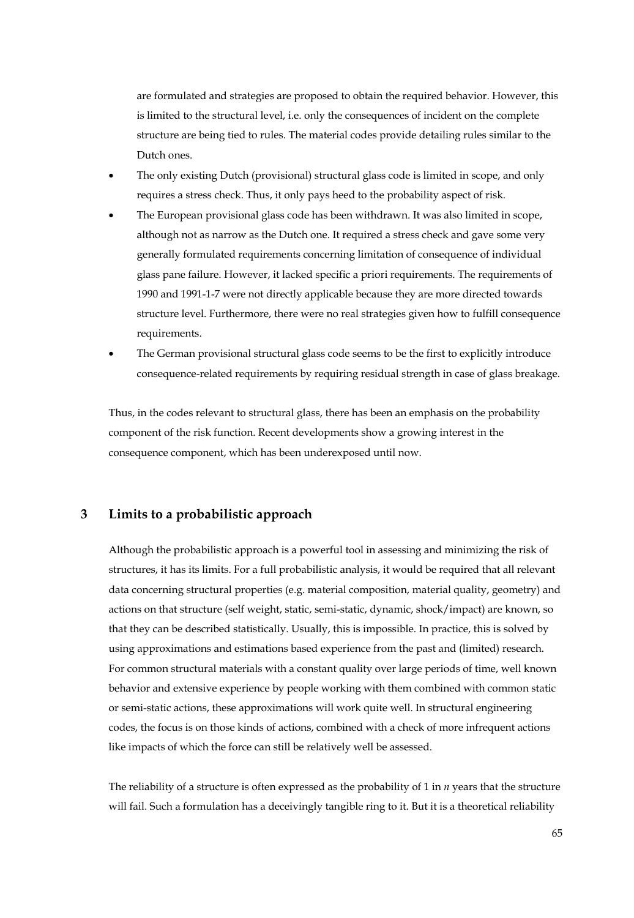are formulated and strategies are proposed to obtain the required behavior. However, this is limited to the structural level, i.e. only the consequences of incident on the complete structure are being tied to rules. The material codes provide detailing rules similar to the Dutch ones.

- The only existing Dutch (provisional) structural glass code is limited in scope, and only requires a stress check. Thus, it only pays heed to the probability aspect of risk.
- The European provisional glass code has been withdrawn. It was also limited in scope, although not as narrow as the Dutch one. It required a stress check and gave some very generally formulated requirements concerning limitation of consequence of individual glass pane failure. However, it lacked specific a priori requirements. The requirements of 1990 and 1991-1-7 were not directly applicable because they are more directed towards structure level. Furthermore, there were no real strategies given how to fulfill consequence requirements.
- The German provisional structural glass code seems to be the first to explicitly introduce consequence-related requirements by requiring residual strength in case of glass breakage.

Thus, in the codes relevant to structural glass, there has been an emphasis on the probability component of the risk function. Recent developments show a growing interest in the consequence component, which has been underexposed until now.

# **3 Limits to a probabilistic approach**

Although the probabilistic approach is a powerful tool in assessing and minimizing the risk of structures, it has its limits. For a full probabilistic analysis, it would be required that all relevant data concerning structural properties (e.g. material composition, material quality, geometry) and actions on that structure (self weight, static, semi-static, dynamic, shock/impact) are known, so that they can be described statistically. Usually, this is impossible. In practice, this is solved by using approximations and estimations based experience from the past and (limited) research. For common structural materials with a constant quality over large periods of time, well known behavior and extensive experience by people working with them combined with common static or semi-static actions, these approximations will work quite well. In structural engineering codes, the focus is on those kinds of actions, combined with a check of more infrequent actions like impacts of which the force can still be relatively well be assessed.

The reliability of a structure is often expressed as the probability of 1 in *n* years that the structure will fail. Such a formulation has a deceivingly tangible ring to it. But it is a theoretical reliability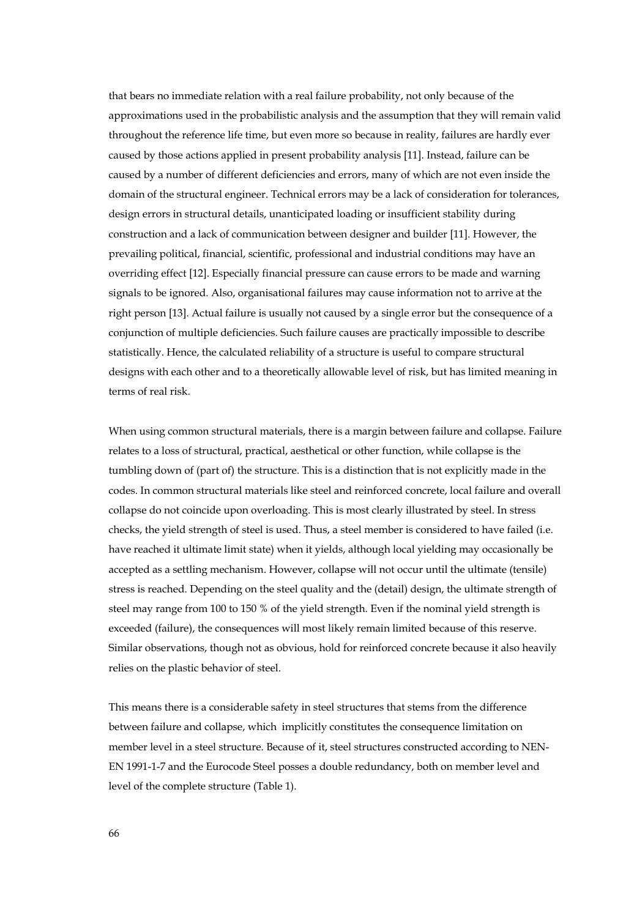that bears no immediate relation with a real failure probability, not only because of the approximations used in the probabilistic analysis and the assumption that they will remain valid throughout the reference life time, but even more so because in reality, failures are hardly ever caused by those actions applied in present probability analysis [11]. Instead, failure can be caused by a number of different deficiencies and errors, many of which are not even inside the domain of the structural engineer. Technical errors may be a lack of consideration for tolerances, design errors in structural details, unanticipated loading or insufficient stability during construction and a lack of communication between designer and builder [11]. However, the prevailing political, financial, scientific, professional and industrial conditions may have an overriding effect [12]. Especially financial pressure can cause errors to be made and warning signals to be ignored. Also, organisational failures may cause information not to arrive at the right person [13]. Actual failure is usually not caused by a single error but the consequence of a conjunction of multiple deficiencies. Such failure causes are practically impossible to describe statistically. Hence, the calculated reliability of a structure is useful to compare structural designs with each other and to a theoretically allowable level of risk, but has limited meaning in terms of real risk.

When using common structural materials, there is a margin between failure and collapse. Failure relates to a loss of structural, practical, aesthetical or other function, while collapse is the tumbling down of (part of) the structure. This is a distinction that is not explicitly made in the codes. In common structural materials like steel and reinforced concrete, local failure and overall collapse do not coincide upon overloading. This is most clearly illustrated by steel. In stress checks, the yield strength of steel is used. Thus, a steel member is considered to have failed (i.e. have reached it ultimate limit state) when it yields, although local yielding may occasionally be accepted as a settling mechanism. However, collapse will not occur until the ultimate (tensile) stress is reached. Depending on the steel quality and the (detail) design, the ultimate strength of steel may range from 100 to 150 % of the yield strength. Even if the nominal yield strength is exceeded (failure), the consequences will most likely remain limited because of this reserve. Similar observations, though not as obvious, hold for reinforced concrete because it also heavily relies on the plastic behavior of steel.

This means there is a considerable safety in steel structures that stems from the difference between failure and collapse, which implicitly constitutes the consequence limitation on member level in a steel structure. Because of it, steel structures constructed according to NEN-EN 1991-1-7 and the Eurocode Steel posses a double redundancy, both on member level and level of the complete structure (Table 1).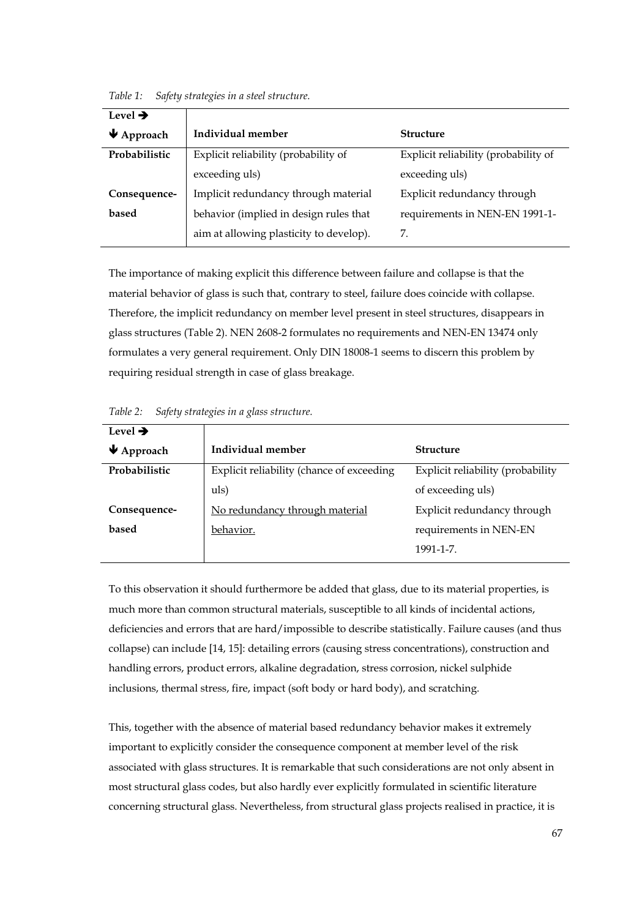| Level $\rightarrow$            |                                         |                                      |  |  |  |
|--------------------------------|-----------------------------------------|--------------------------------------|--|--|--|
| $\blacktriangleright$ Approach | Individual member                       | Structure                            |  |  |  |
| Probabilistic                  | Explicit reliability (probability of    | Explicit reliability (probability of |  |  |  |
|                                | exceeding uls)                          | exceeding uls)                       |  |  |  |
| Consequence-                   | Implicit redundancy through material    | Explicit redundancy through          |  |  |  |
| based                          | behavior (implied in design rules that  | requirements in NEN-EN 1991-1-       |  |  |  |
|                                | aim at allowing plasticity to develop). | 7.                                   |  |  |  |

*Table 1: Safety strategies in a steel structure.*

The importance of making explicit this difference between failure and collapse is that the material behavior of glass is such that, contrary to steel, failure does coincide with collapse. Therefore, the implicit redundancy on member level present in steel structures, disappears in glass structures (Table 2). NEN 2608-2 formulates no requirements and NEN-EN 13474 only formulates a very general requirement. Only DIN 18008-1 seems to discern this problem by requiring residual strength in case of glass breakage.

| Level $\rightarrow$            |                                           |                                   |  |
|--------------------------------|-------------------------------------------|-----------------------------------|--|
| $\blacktriangleright$ Approach | Individual member                         | Structure                         |  |
| Probabilistic                  | Explicit reliability (chance of exceeding | Explicit reliability (probability |  |
|                                | uls)                                      | of exceeding uls)                 |  |
| Consequence-                   | No redundancy through material            | Explicit redundancy through       |  |
| based                          | behavior.                                 | requirements in NEN-EN            |  |
|                                |                                           | 1991-1-7.                         |  |

*Table 2: Safety strategies in a glass structure.*

To this observation it should furthermore be added that glass, due to its material properties, is much more than common structural materials, susceptible to all kinds of incidental actions, deficiencies and errors that are hard/impossible to describe statistically. Failure causes (and thus collapse) can include [14, 15]: detailing errors (causing stress concentrations), construction and handling errors, product errors, alkaline degradation, stress corrosion, nickel sulphide inclusions, thermal stress, fire, impact (soft body or hard body), and scratching.

This, together with the absence of material based redundancy behavior makes it extremely important to explicitly consider the consequence component at member level of the risk associated with glass structures. It is remarkable that such considerations are not only absent in most structural glass codes, but also hardly ever explicitly formulated in scientific literature concerning structural glass. Nevertheless, from structural glass projects realised in practice, it is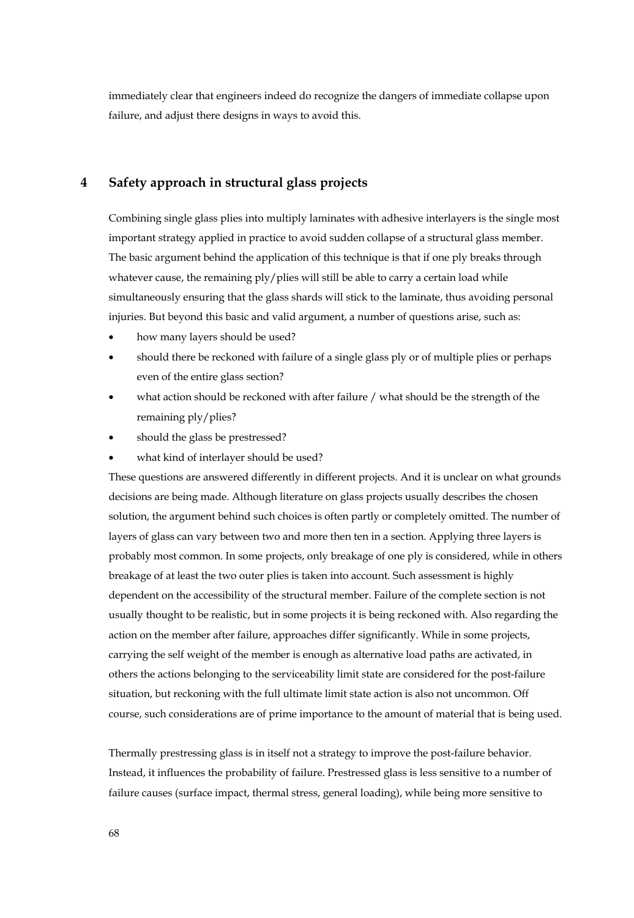immediately clear that engineers indeed do recognize the dangers of immediate collapse upon failure, and adjust there designs in ways to avoid this.

# **4 Safety approach in structural glass projects**

Combining single glass plies into multiply laminates with adhesive interlayers is the single most important strategy applied in practice to avoid sudden collapse of a structural glass member. The basic argument behind the application of this technique is that if one ply breaks through whatever cause, the remaining ply/plies will still be able to carry a certain load while simultaneously ensuring that the glass shards will stick to the laminate, thus avoiding personal injuries. But beyond this basic and valid argument, a number of questions arise, such as:

- how many layers should be used?
- should there be reckoned with failure of a single glass ply or of multiple plies or perhaps even of the entire glass section?
- what action should be reckoned with after failure / what should be the strength of the remaining ply/plies?
- should the glass be prestressed?
- what kind of interlayer should be used?

These questions are answered differently in different projects. And it is unclear on what grounds decisions are being made. Although literature on glass projects usually describes the chosen solution, the argument behind such choices is often partly or completely omitted. The number of layers of glass can vary between two and more then ten in a section. Applying three layers is probably most common. In some projects, only breakage of one ply is considered, while in others breakage of at least the two outer plies is taken into account. Such assessment is highly dependent on the accessibility of the structural member. Failure of the complete section is not usually thought to be realistic, but in some projects it is being reckoned with. Also regarding the action on the member after failure, approaches differ significantly. While in some projects, carrying the self weight of the member is enough as alternative load paths are activated, in others the actions belonging to the serviceability limit state are considered for the post-failure situation, but reckoning with the full ultimate limit state action is also not uncommon. Off course, such considerations are of prime importance to the amount of material that is being used.

Thermally prestressing glass is in itself not a strategy to improve the post-failure behavior. Instead, it influences the probability of failure. Prestressed glass is less sensitive to a number of failure causes (surface impact, thermal stress, general loading), while being more sensitive to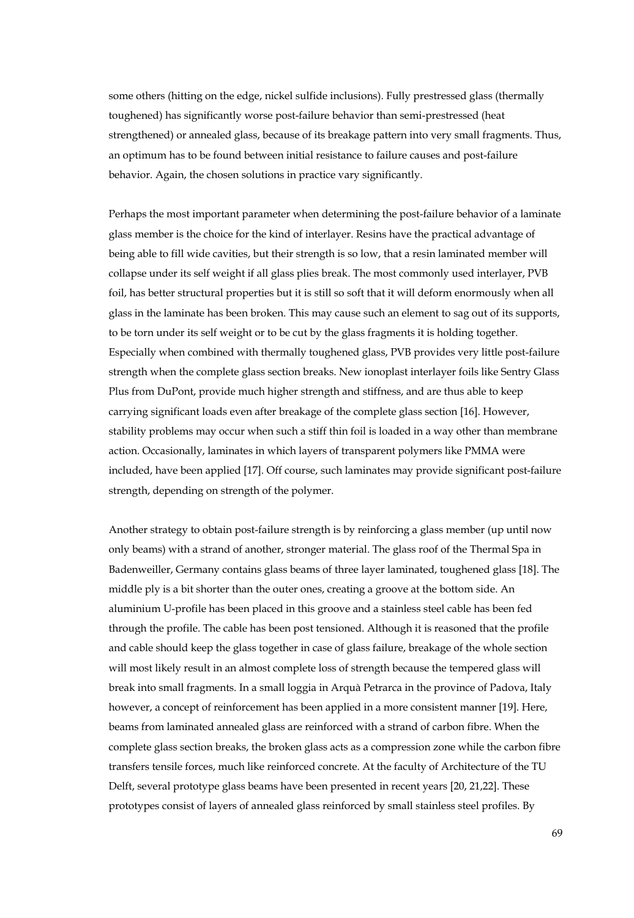some others (hitting on the edge, nickel sulfide inclusions). Fully prestressed glass (thermally toughened) has significantly worse post-failure behavior than semi-prestressed (heat strengthened) or annealed glass, because of its breakage pattern into very small fragments. Thus, an optimum has to be found between initial resistance to failure causes and post-failure behavior. Again, the chosen solutions in practice vary significantly.

Perhaps the most important parameter when determining the post-failure behavior of a laminate glass member is the choice for the kind of interlayer. Resins have the practical advantage of being able to fill wide cavities, but their strength is so low, that a resin laminated member will collapse under its self weight if all glass plies break. The most commonly used interlayer, PVB foil, has better structural properties but it is still so soft that it will deform enormously when all glass in the laminate has been broken. This may cause such an element to sag out of its supports, to be torn under its self weight or to be cut by the glass fragments it is holding together. Especially when combined with thermally toughened glass, PVB provides very little post-failure strength when the complete glass section breaks. New ionoplast interlayer foils like Sentry Glass Plus from DuPont, provide much higher strength and stiffness, and are thus able to keep carrying significant loads even after breakage of the complete glass section [16]. However, stability problems may occur when such a stiff thin foil is loaded in a way other than membrane action. Occasionally, laminates in which layers of transparent polymers like PMMA were included, have been applied [17]. Off course, such laminates may provide significant post-failure strength, depending on strength of the polymer.

Another strategy to obtain post-failure strength is by reinforcing a glass member (up until now only beams) with a strand of another, stronger material. The glass roof of the Thermal Spa in Badenweiller, Germany contains glass beams of three layer laminated, toughened glass [18]. The middle ply is a bit shorter than the outer ones, creating a groove at the bottom side. An aluminium U-profile has been placed in this groove and a stainless steel cable has been fed through the profile. The cable has been post tensioned. Although it is reasoned that the profile and cable should keep the glass together in case of glass failure, breakage of the whole section will most likely result in an almost complete loss of strength because the tempered glass will break into small fragments. In a small loggia in Arquà Petrarca in the province of Padova, Italy however, a concept of reinforcement has been applied in a more consistent manner [19]. Here, beams from laminated annealed glass are reinforced with a strand of carbon fibre. When the complete glass section breaks, the broken glass acts as a compression zone while the carbon fibre transfers tensile forces, much like reinforced concrete. At the faculty of Architecture of the TU Delft, several prototype glass beams have been presented in recent years [20, 21,22]. These prototypes consist of layers of annealed glass reinforced by small stainless steel profiles. By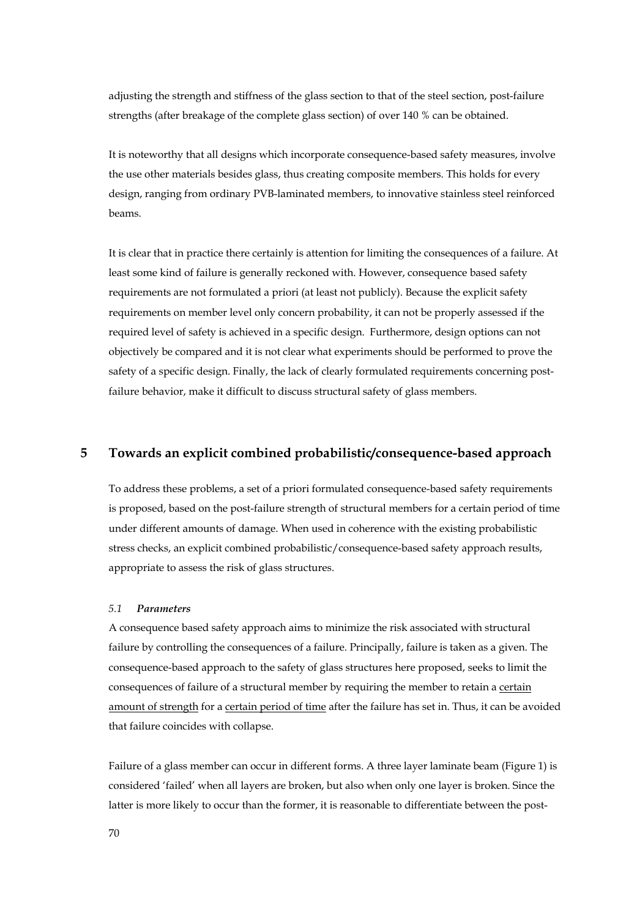adjusting the strength and stiffness of the glass section to that of the steel section, post-failure strengths (after breakage of the complete glass section) of over 140 % can be obtained.

It is noteworthy that all designs which incorporate consequence-based safety measures, involve the use other materials besides glass, thus creating composite members. This holds for every design, ranging from ordinary PVB-laminated members, to innovative stainless steel reinforced beams.

It is clear that in practice there certainly is attention for limiting the consequences of a failure. At least some kind of failure is generally reckoned with. However, consequence based safety requirements are not formulated a priori (at least not publicly). Because the explicit safety requirements on member level only concern probability, it can not be properly assessed if the required level of safety is achieved in a specific design. Furthermore, design options can not objectively be compared and it is not clear what experiments should be performed to prove the safety of a specific design. Finally, the lack of clearly formulated requirements concerning postfailure behavior, make it difficult to discuss structural safety of glass members.

#### **5 Towards an explicit combined probabilistic/consequence-based approach**

To address these problems, a set of a priori formulated consequence-based safety requirements is proposed, based on the post-failure strength of structural members for a certain period of time under different amounts of damage. When used in coherence with the existing probabilistic stress checks, an explicit combined probabilistic/consequence-based safety approach results, appropriate to assess the risk of glass structures.

#### *5.1 Parameters*

A consequence based safety approach aims to minimize the risk associated with structural failure by controlling the consequences of a failure. Principally, failure is taken as a given. The consequence-based approach to the safety of glass structures here proposed, seeks to limit the consequences of failure of a structural member by requiring the member to retain a certain amount of strength for a certain period of time after the failure has set in. Thus, it can be avoided that failure coincides with collapse.

Failure of a glass member can occur in different forms. A three layer laminate beam (Figure 1) is considered 'failed' when all layers are broken, but also when only one layer is broken. Since the latter is more likely to occur than the former, it is reasonable to differentiate between the post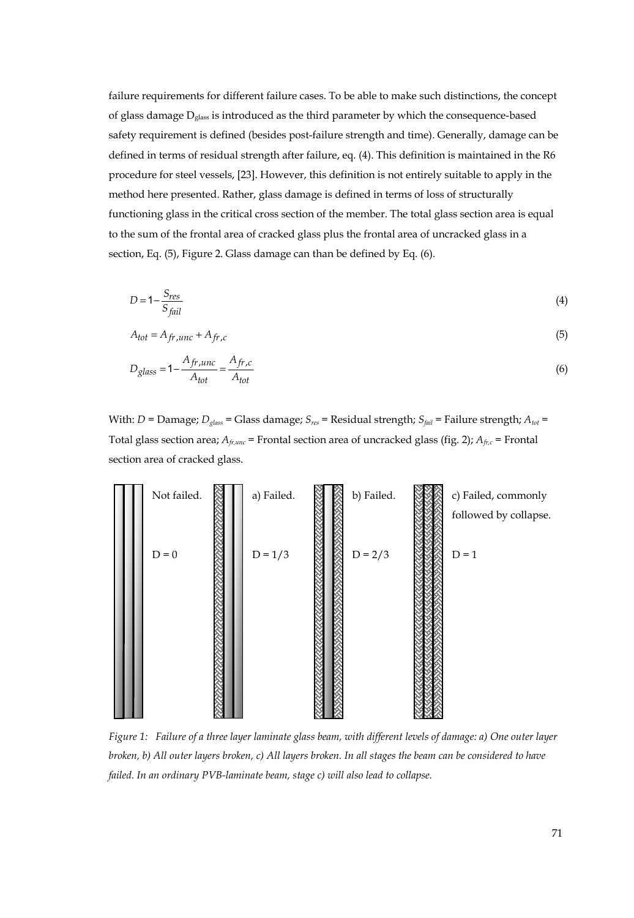failure requirements for different failure cases. To be able to make such distinctions, the concept of glass damage  $D_{glass}$  is introduced as the third parameter by which the consequence-based safety requirement is defined (besides post-failure strength and time). Generally, damage can be defined in terms of residual strength after failure, eq. (4). This definition is maintained in the R6 procedure for steel vessels, [23]. However, this definition is not entirely suitable to apply in the method here presented. Rather, glass damage is defined in terms of loss of structurally functioning glass in the critical cross section of the member. The total glass section area is equal to the sum of the frontal area of cracked glass plus the frontal area of uncracked glass in a section, Eq. (5), Figure 2. Glass damage can than be defined by Eq. (6).

$$
D = 1 - \frac{S_{res}}{S_{fail}} \tag{4}
$$

$$
A_{tot} = A_{fr,unc} + A_{fr,c} \tag{5}
$$

$$
D_{glass} = 1 - \frac{A_{fr,unc}}{A_{tot}} = \frac{A_{fr,c}}{A_{tot}} \tag{6}
$$

With: *D* = Damage; *D<sub>glass</sub>* = Glass damage; *S<sub>res</sub>* = Residual strength; *S<sub>fail</sub>* = Failure strength; *A<sub>tot</sub>* = Total glass section area; *Afr,unc* = Frontal section area of uncracked glass (fig. 2); *Afr,c* = Frontal section area of cracked glass.



*Figure 1: Failure of a three layer laminate glass beam, with different levels of damage: a) One outer layer broken, b) All outer layers broken, c) All layers broken. In all stages the beam can be considered to have failed. In an ordinary PVB-laminate beam, stage c) will also lead to collapse.*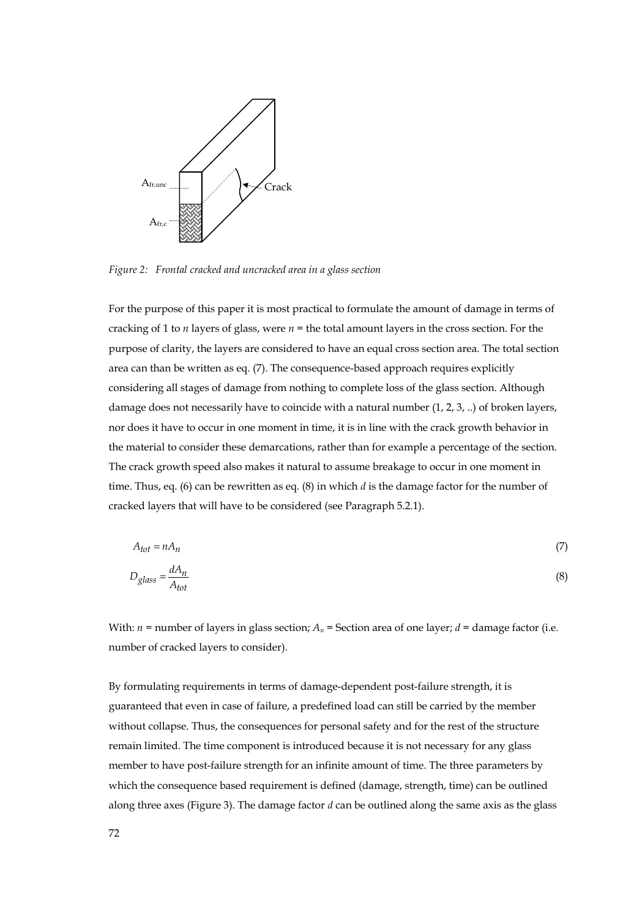

*Figure 2: Frontal cracked and uncracked area in a glass section* 

For the purpose of this paper it is most practical to formulate the amount of damage in terms of cracking of 1 to *n* layers of glass, were *n* = the total amount layers in the cross section. For the purpose of clarity, the layers are considered to have an equal cross section area. The total section area can than be written as eq. (7). The consequence-based approach requires explicitly considering all stages of damage from nothing to complete loss of the glass section. Although damage does not necessarily have to coincide with a natural number  $(1, 2, 3, ...)$  of broken layers, nor does it have to occur in one moment in time, it is in line with the crack growth behavior in the material to consider these demarcations, rather than for example a percentage of the section. The crack growth speed also makes it natural to assume breakage to occur in one moment in time. Thus, eq. (6) can be rewritten as eq. (8) in which *d* is the damage factor for the number of cracked layers that will have to be considered (see Paragraph 5.2.1).

$$
A_{tot} = nA_n
$$
  
\n
$$
D_{glass} = \frac{dA_n}{A_{tot}}
$$
 (8)

With:  $n =$  number of layers in glass section;  $A_n =$  Section area of one layer;  $d =$  damage factor (i.e. number of cracked layers to consider).

By formulating requirements in terms of damage-dependent post-failure strength, it is guaranteed that even in case of failure, a predefined load can still be carried by the member without collapse. Thus, the consequences for personal safety and for the rest of the structure remain limited. The time component is introduced because it is not necessary for any glass member to have post-failure strength for an infinite amount of time. The three parameters by which the consequence based requirement is defined (damage, strength, time) can be outlined along three axes (Figure 3). The damage factor *d* can be outlined along the same axis as the glass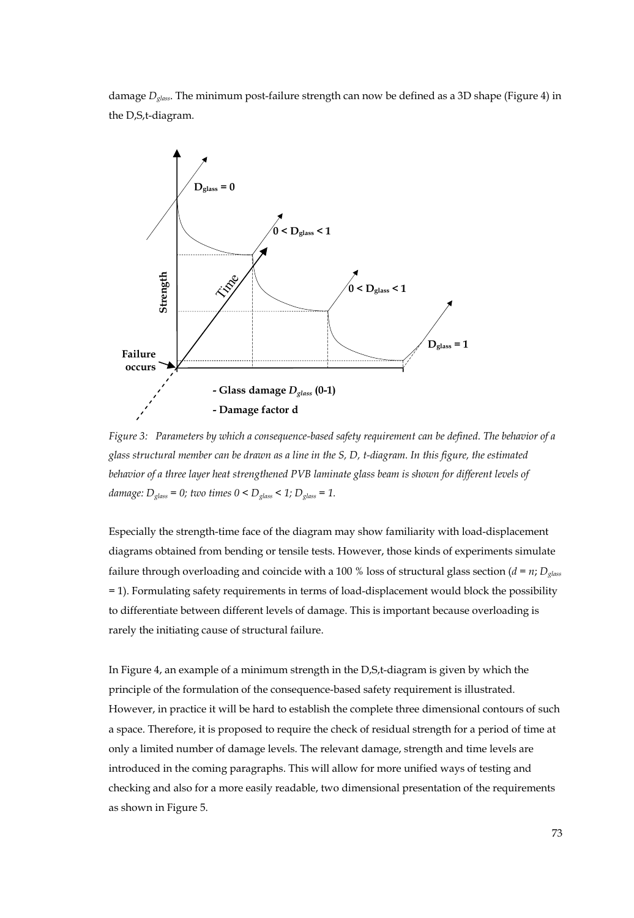damage *Dglass*. The minimum post-failure strength can now be defined as a 3D shape (Figure 4) in the D,S,t-diagram.



*Figure 3: Parameters by which a consequence-based safety requirement can be defined. The behavior of a glass structural member can be drawn as a line in the S, D, t-diagram. In this figure, the estimated behavior of a three layer heat strengthened PVB laminate glass beam is shown for different levels of damage:*  $D_{glass} = 0$ ; two times  $0 < D_{glass} < 1$ ;  $D_{glass} = 1$ .

Especially the strength-time face of the diagram may show familiarity with load-displacement diagrams obtained from bending or tensile tests. However, those kinds of experiments simulate failure through overloading and coincide with a 100 % loss of structural glass section ( $d = n$ ;  $D_{glass}$ = 1). Formulating safety requirements in terms of load-displacement would block the possibility to differentiate between different levels of damage. This is important because overloading is rarely the initiating cause of structural failure.

In Figure 4, an example of a minimum strength in the D,S,t-diagram is given by which the principle of the formulation of the consequence-based safety requirement is illustrated. However, in practice it will be hard to establish the complete three dimensional contours of such a space. Therefore, it is proposed to require the check of residual strength for a period of time at only a limited number of damage levels. The relevant damage, strength and time levels are introduced in the coming paragraphs. This will allow for more unified ways of testing and checking and also for a more easily readable, two dimensional presentation of the requirements as shown in Figure 5.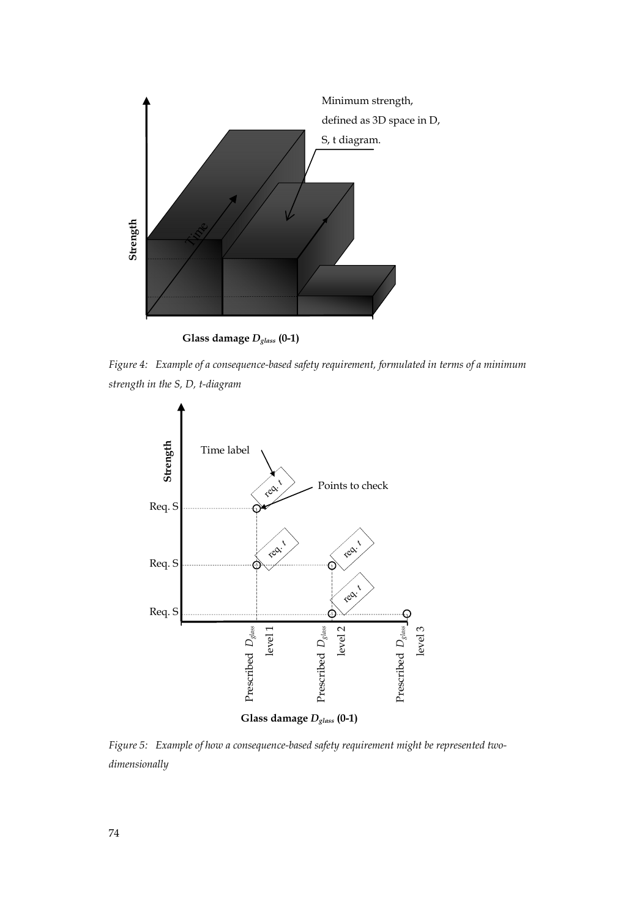

**Glass damage** *Dglass* **(0-1)** 

*Figure 4: Example of a consequence-based safety requirement, formulated in terms of a minimum strength in the S, D, t-diagram* 



*Figure 5: Example of how a consequence-based safety requirement might be represented two*dimensionally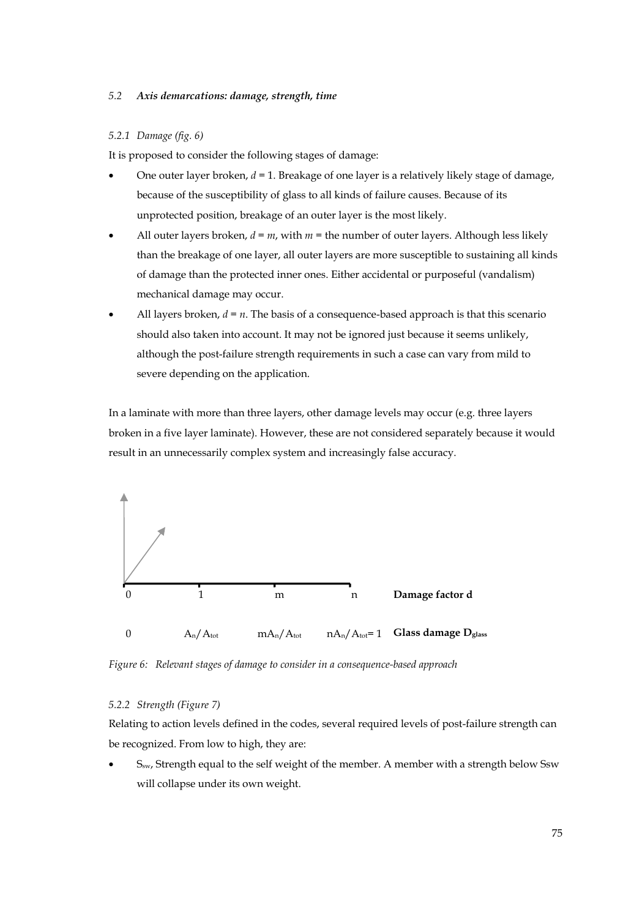#### *5.2 Axis demarcations: damage, strength, time*

#### *5.2.1 Damage (fig. 6)*

It is proposed to consider the following stages of damage:

- One outer layer broken, *d* = 1. Breakage of one layer is a relatively likely stage of damage, because of the susceptibility of glass to all kinds of failure causes. Because of its unprotected position, breakage of an outer layer is the most likely.
- All outer layers broken,  $d = m$ , with  $m =$  the number of outer layers. Although less likely than the breakage of one layer, all outer layers are more susceptible to sustaining all kinds of damage than the protected inner ones. Either accidental or purposeful (vandalism) mechanical damage may occur.
- All layers broken,  $d = n$ . The basis of a consequence-based approach is that this scenario should also taken into account. It may not be ignored just because it seems unlikely, although the post-failure strength requirements in such a case can vary from mild to severe depending on the application.

In a laminate with more than three layers, other damage levels may occur (e.g. three layers broken in a five layer laminate). However, these are not considered separately because it would result in an unnecessarily complex system and increasingly false accuracy.



*Figure 6: Relevant stages of damage to consider in a consequence-based approach* 

#### *5.2.2 Strength (Figure 7)*

Relating to action levels defined in the codes, several required levels of post-failure strength can be recognized. From low to high, they are:

S<sub>sw</sub>, Strength equal to the self weight of the member. A member with a strength below Ssw will collapse under its own weight.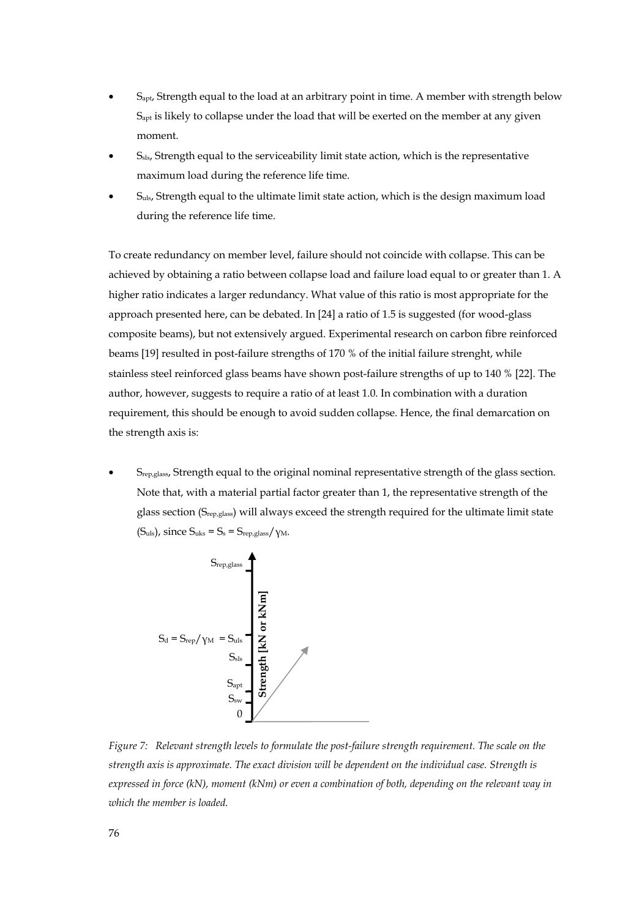- Sapt, Strength equal to the load at an arbitrary point in time. A member with strength below  $S<sub>apt</sub>$  is likely to collapse under the load that will be exerted on the member at any given moment.
- $S_{\rm{sls}}$ , Strength equal to the serviceability limit state action, which is the representative maximum load during the reference life time.
- $S<sub>uls</sub>$ , Strength equal to the ultimate limit state action, which is the design maximum load during the reference life time.

To create redundancy on member level, failure should not coincide with collapse. This can be achieved by obtaining a ratio between collapse load and failure load equal to or greater than 1. A higher ratio indicates a larger redundancy. What value of this ratio is most appropriate for the approach presented here, can be debated. In [24] a ratio of 1.5 is suggested (for wood-glass composite beams), but not extensively argued. Experimental research on carbon fibre reinforced beams [19] resulted in post-failure strengths of 170 % of the initial failure strenght, while stainless steel reinforced glass beams have shown post-failure strengths of up to 140 % [22]. The author, however, suggests to require a ratio of at least 1.0. In combination with a duration requirement, this should be enough to avoid sudden collapse. Hence, the final demarcation on the strength axis is:

• Srep,glass, Strength equal to the original nominal representative strength of the glass section. Note that, with a material partial factor greater than 1, the representative strength of the glass section (Srep,glass) will always exceed the strength required for the ultimate limit state  $(S_{uls})$ , since  $S_{uks} = S_s = S_{rep.glass}/v_M$ .

$$
S_{\text{rep,glass}} \rightarrow \text{S}_{\text{rep}} \rightarrow \text{S}_{\text{cls}}
$$
\n
$$
S_{\text{cls}} \rightarrow \text{S}_{\text{cls}}
$$
\n
$$
S_{\text{sig}} \rightarrow \text{E}_{\text{reg}} \rightarrow \text{E}_{\text{reg}}
$$
\n
$$
S_{\text{sv}} \rightarrow \text{E}_{\text{proj}}
$$

*Figure 7: Relevant strength levels to formulate the post-failure strength requirement. The scale on the strength axis is approximate. The exact division will be dependent on the individual case. Strength is expressed in force (kN), moment (kNm) or even a combination of both, depending on the relevant way in which the member is loaded.*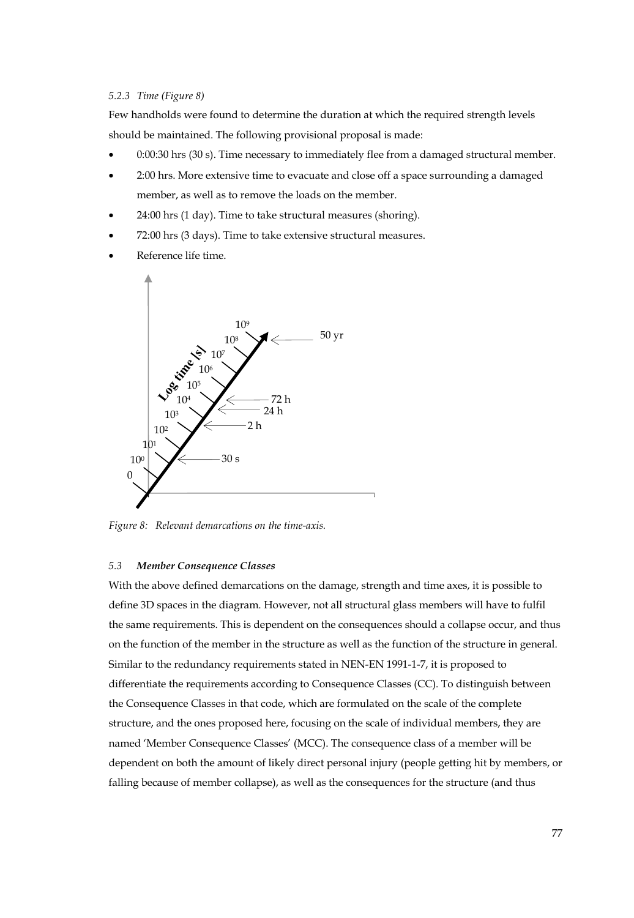#### *5.2.3 Time (Figure 8)*

Few handholds were found to determine the duration at which the required strength levels should be maintained. The following provisional proposal is made:

- 0:00:30 hrs (30 s). Time necessary to immediately flee from a damaged structural member.
- 2:00 hrs. More extensive time to evacuate and close off a space surrounding a damaged member, as well as to remove the loads on the member.
- 24:00 hrs (1 day). Time to take structural measures (shoring).
- 72:00 hrs (3 days). Time to take extensive structural measures.
- Reference life time.



*Figure 8: Relevant demarcations on the time-axis.* 

#### *5.3 Member Consequence Classes*

With the above defined demarcations on the damage, strength and time axes, it is possible to define 3D spaces in the diagram. However, not all structural glass members will have to fulfil the same requirements. This is dependent on the consequences should a collapse occur, and thus on the function of the member in the structure as well as the function of the structure in general. Similar to the redundancy requirements stated in NEN-EN 1991-1-7, it is proposed to differentiate the requirements according to Consequence Classes (CC). To distinguish between the Consequence Classes in that code, which are formulated on the scale of the complete structure, and the ones proposed here, focusing on the scale of individual members, they are named 'Member Consequence Classes' (MCC). The consequence class of a member will be dependent on both the amount of likely direct personal injury (people getting hit by members, or falling because of member collapse), as well as the consequences for the structure (and thus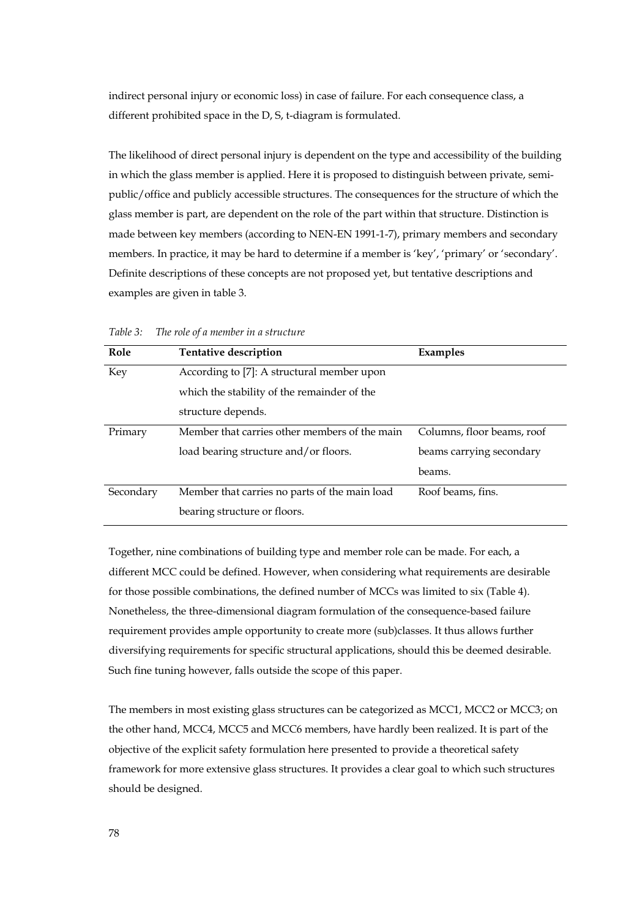indirect personal injury or economic loss) in case of failure. For each consequence class, a different prohibited space in the D, S, t-diagram is formulated.

The likelihood of direct personal injury is dependent on the type and accessibility of the building in which the glass member is applied. Here it is proposed to distinguish between private, semipublic/office and publicly accessible structures. The consequences for the structure of which the glass member is part, are dependent on the role of the part within that structure. Distinction is made between key members (according to NEN-EN 1991-1-7), primary members and secondary members. In practice, it may be hard to determine if a member is 'key', 'primary' or 'secondary'. Definite descriptions of these concepts are not proposed yet, but tentative descriptions and examples are given in table 3.

| Role      | Tentative description                         | Examples                   |  |  |  |  |
|-----------|-----------------------------------------------|----------------------------|--|--|--|--|
| Key       | According to [7]: A structural member upon    |                            |  |  |  |  |
|           | which the stability of the remainder of the   |                            |  |  |  |  |
|           | structure depends.                            |                            |  |  |  |  |
| Primary   | Member that carries other members of the main | Columns, floor beams, roof |  |  |  |  |
|           | load bearing structure and/or floors.         | beams carrying secondary   |  |  |  |  |
|           |                                               | beams.                     |  |  |  |  |
| Secondary | Member that carries no parts of the main load | Roof beams, fins.          |  |  |  |  |
|           | bearing structure or floors.                  |                            |  |  |  |  |

*Table 3: The role of a member in a structure* 

Together, nine combinations of building type and member role can be made. For each, a different MCC could be defined. However, when considering what requirements are desirable for those possible combinations, the defined number of MCCs was limited to six (Table 4). Nonetheless, the three-dimensional diagram formulation of the consequence-based failure requirement provides ample opportunity to create more (sub)classes. It thus allows further diversifying requirements for specific structural applications, should this be deemed desirable. Such fine tuning however, falls outside the scope of this paper.

The members in most existing glass structures can be categorized as MCC1, MCC2 or MCC3; on the other hand, MCC4, MCC5 and MCC6 members, have hardly been realized. It is part of the objective of the explicit safety formulation here presented to provide a theoretical safety framework for more extensive glass structures. It provides a clear goal to which such structures should be designed.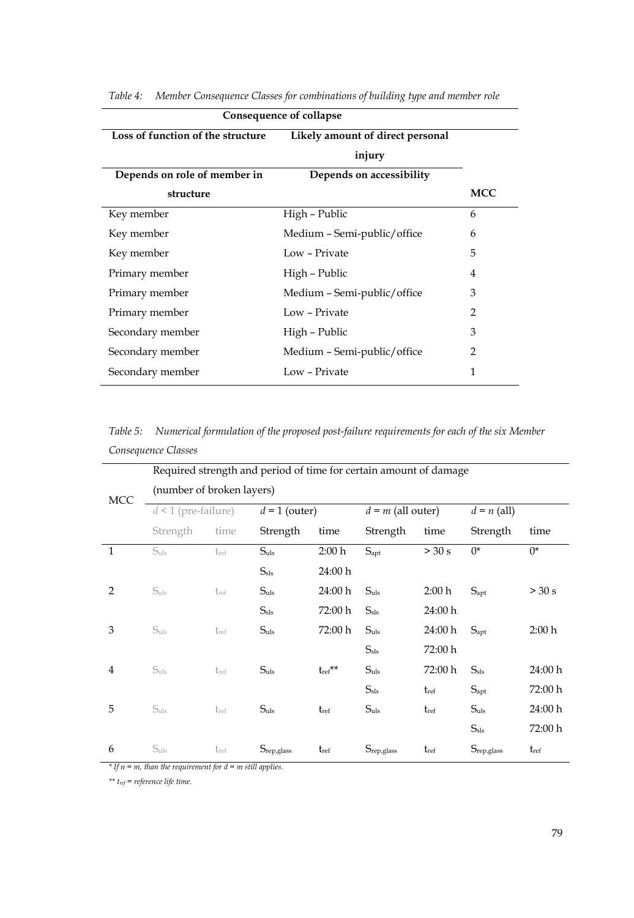| Consequence of collapse           |                                  |     |  |  |
|-----------------------------------|----------------------------------|-----|--|--|
| Loss of function of the structure | Likely amount of direct personal |     |  |  |
|                                   | injury                           |     |  |  |
| Depends on role of member in      | Depends on accessibility         |     |  |  |
| structure                         |                                  | MCC |  |  |
| Key member                        | High - Public                    | 6   |  |  |
| Key member                        | Medium – Semi-public/office      | 6   |  |  |
| Key member                        | Low - Private                    | 5   |  |  |
| Primary member                    | High – Public                    | 4   |  |  |
| Primary member                    | Medium – Semi-public/office      | 3   |  |  |
| Primary member                    | Low - Private                    | 2   |  |  |
| Secondary member                  | High – Public                    | 3   |  |  |
| Secondary member                  | Medium – Semi-public/office      | 2   |  |  |
| Secondary member                  | Low - Private                    | 1   |  |  |

*Table 4: Member Consequence Classes for combinations of building type and member role* 

*Table 5: Numerical formulation of the proposed post-failure requirements for each of the six Member Consequence Classes* 

|                | Required strength and period of time for certain amount of damage |           |                            |                  |                     |           |                     |           |
|----------------|-------------------------------------------------------------------|-----------|----------------------------|------------------|---------------------|-----------|---------------------|-----------|
| MCC            | (number of broken layers)                                         |           |                            |                  |                     |           |                     |           |
|                | $d < 1$ (pre-failure)                                             |           | $\overline{d} = 1$ (outer) |                  | $d = m$ (all outer) |           | $d = n$ (all)       |           |
|                | Strength                                                          | time      | Strength                   | time             | Strength            | time      | Strength            | time      |
| $\mathbf{1}$   | S <sub>uls</sub>                                                  | $t_{ref}$ | S <sub>uls</sub>           | 2:00 h           | $S_{\text{apt}}$    | > 30 s    | $0^*$               | $0^*$     |
|                |                                                                   |           | $S_{\rm sls}$              | 24:00 h          |                     |           |                     |           |
| 2              | $S_{uls}$                                                         | $t_{ref}$ | $S_{uls}$                  | 24:00 h          | S <sub>uls</sub>    | 2:00 h    | $S_{\rm apt}$       | > 30 s    |
|                |                                                                   |           | $S_{\rm sls}$              | 72:00 h          | $S_{\rm sls}$       | 24:00 h   |                     |           |
| 3              | $S_{uls}$                                                         | tref      | $S_{uls}$                  | 72:00 h          | $S_{uls}$           | 24:00 h   | $S_{\text{apt}}$    | 2:00 h    |
|                |                                                                   |           |                            |                  | $S_{\rm sls}$       | 72:00 h   |                     |           |
| $\overline{4}$ | $S_{uls}$                                                         | $t_{ref}$ | $S_{uls}$                  | $t_{\rm ref}$ ** | S <sub>uls</sub>    | 72:00 h   | $S_{\rm sls}$       | 24:00 h   |
|                |                                                                   |           |                            |                  | $S_{\rm sls}$       | $t_{ref}$ | $S_{\rm apt}$       | 72:00 h   |
| 5              | $S_{uls}$                                                         | tref      | $S_{uls}$                  | $t_{ref}$        | S <sub>uls</sub>    | $t_{ref}$ | $S_{uls}$           | 24:00 h   |
|                |                                                                   |           |                            |                  |                     |           | $S_{\rm sls}$       | 72:00 h   |
| 6              | S <sub>uls</sub>                                                  | tref      | Srep, glass                | $t_{ref}$        | Srep, glass         | $t_{ref}$ | $S_{\rm rep,glass}$ | $t_{ref}$ |

*\* If n = m, than the requirement for d = m still applies.* 

*\*\* tref = reference life time.*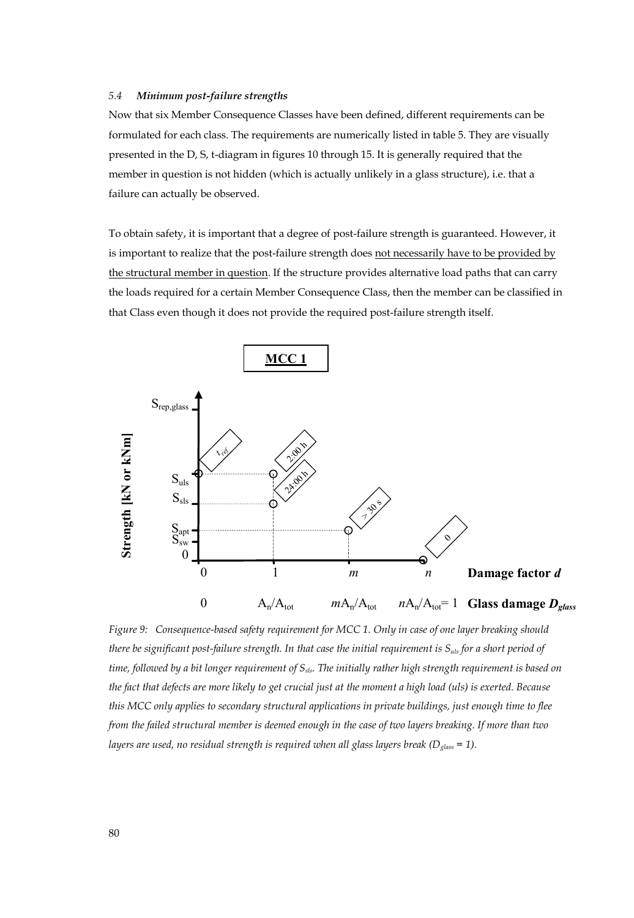#### *5.4 Minimum post-failure strengths*

Now that six Member Consequence Classes have been defined, different requirements can be formulated for each class. The requirements are numerically listed in table 5. They are visually presented in the D, S, t-diagram in figures 10 through 15. It is generally required that the member in question is not hidden (which is actually unlikely in a glass structure), i.e. that a failure can actually be observed.

To obtain safety, it is important that a degree of post-failure strength is guaranteed. However, it is important to realize that the post-failure strength does not necessarily have to be provided by the structural member in question. If the structure provides alternative load paths that can carry the loads required for a certain Member Consequence Class, then the member can be classified in that Class even though it does not provide the required post-failure strength itself.



*Figure 9: Consequence-based safety requirement for MCC 1. Only in case of one layer breaking should there be significant post-failure strength. In that case the initial requirement is*  $S_{u/s}$  *for a short period of time, followed by a bit longer requirement of S<sub>sls</sub>. The initially rather high strength requirement is based on the fact that defects are more likely to get crucial just at the moment a high load (uls) is exerted. Because this MCC only applies to secondary structural applications in private buildings, just enough time to flee from the failed structural member is deemed enough in the case of two layers breaking. If more than two layers are used, no residual strength is required when all glass layers break (D<sub>glass</sub> = 1).*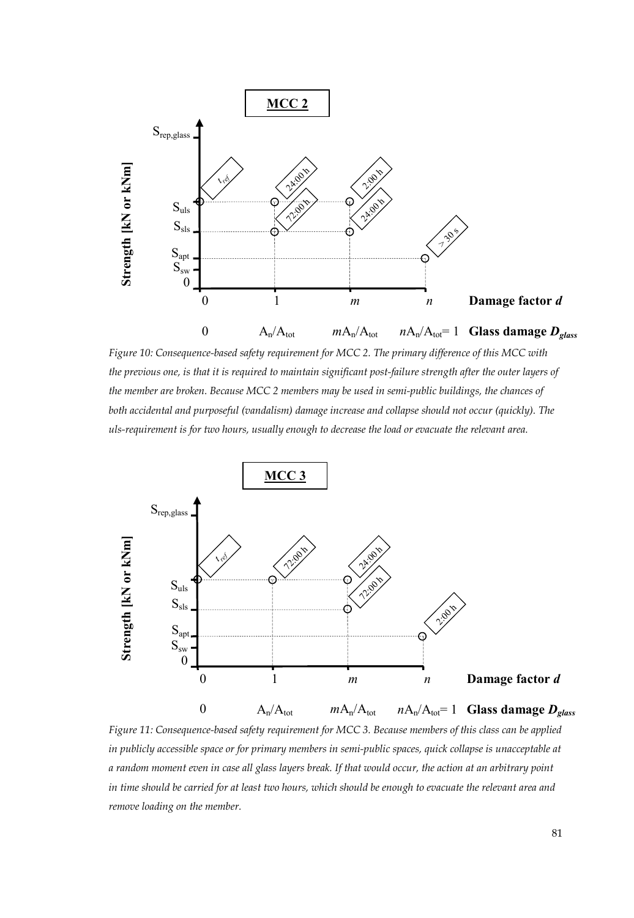

*Figure 10: Consequence-based safety requirement for MCC 2. The primary difference of this MCC with the previous one, is that it is required to maintain significant post-failure strength after the outer layers of the member are broken. Because MCC 2 members may be used in semi-public buildings, the chances of both accidental and purposeful (vandalism) damage increase and collapse should not occur (quickly). The uls-requirement is for two hours, usually enough to decrease the load or evacuate the relevant area.* 



*Figure 11: Consequence-based safety requirement for MCC 3. Because members of this class can be applied in publicly accessible space or for primary members in semi-public spaces, quick collapse is unacceptable at a random moment even in case all glass layers break. If that would occur, the action at an arbitrary point in time should be carried for at least two hours, which should be enough to evacuate the relevant area and remove loading on the member.*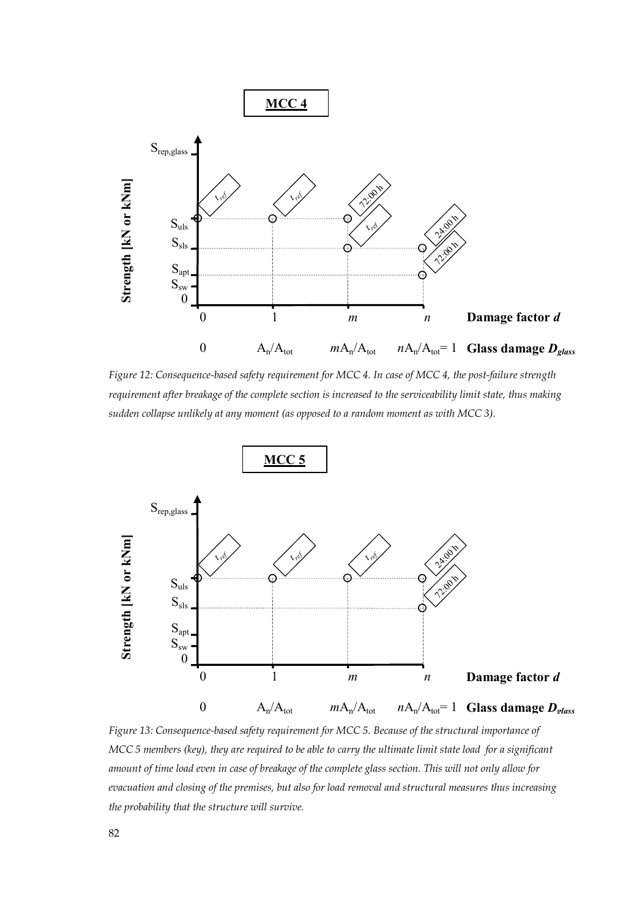

*Figure 12: Consequence-based safety requirement for MCC 4. In case of MCC 4, the post-failure strength requirement after breakage of the complete section is increased to the serviceability limit state, thus making sudden collapse unlikely at any moment (as opposed to a random moment as with MCC 3).* 



*Figure 13: Consequence-based safety requirement for MCC 5. Because of the structural importance of MCC 5 members (key), they are required to be able to carry the ultimate limit state load for a significant amount of time load even in case of breakage of the complete glass section. This will not only allow for evacuation and closing of the premises, but also for load removal and structural measures thus increasing the probability that the structure will survive.*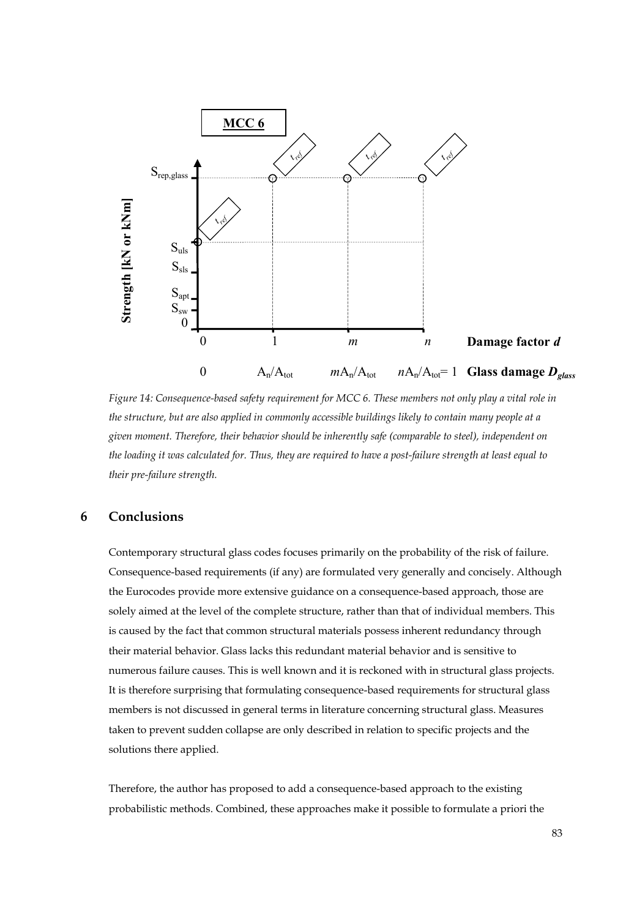

*Figure 14: Consequence-based safety requirement for MCC 6. These members not only play a vital role in the structure, but are also applied in commonly accessible buildings likely to contain many people at a given moment. Therefore, their behavior should be inherently safe (comparable to steel), independent on the loading it was calculated for. Thus, they are required to have a post-failure strength at least equal to their pre-failure strength.* 

# **6 Conclusions**

Contemporary structural glass codes focuses primarily on the probability of the risk of failure. Consequence-based requirements (if any) are formulated very generally and concisely. Although the Eurocodes provide more extensive guidance on a consequence-based approach, those are solely aimed at the level of the complete structure, rather than that of individual members. This is caused by the fact that common structural materials possess inherent redundancy through their material behavior. Glass lacks this redundant material behavior and is sensitive to numerous failure causes. This is well known and it is reckoned with in structural glass projects. It is therefore surprising that formulating consequence-based requirements for structural glass members is not discussed in general terms in literature concerning structural glass. Measures taken to prevent sudden collapse are only described in relation to specific projects and the solutions there applied.

Therefore, the author has proposed to add a consequence-based approach to the existing probabilistic methods. Combined, these approaches make it possible to formulate a priori the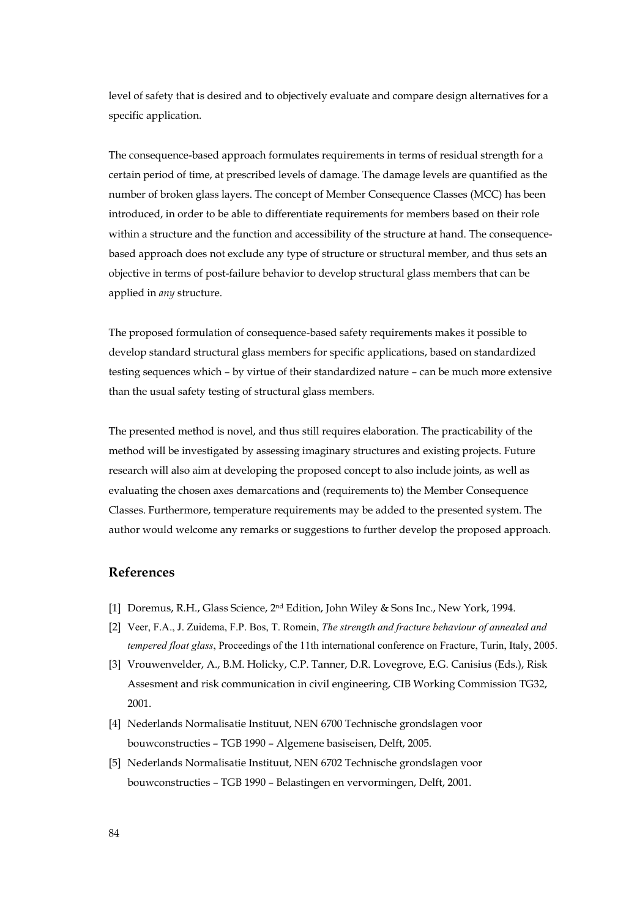level of safety that is desired and to objectively evaluate and compare design alternatives for a specific application.

The consequence-based approach formulates requirements in terms of residual strength for a certain period of time, at prescribed levels of damage. The damage levels are quantified as the number of broken glass layers. The concept of Member Consequence Classes (MCC) has been introduced, in order to be able to differentiate requirements for members based on their role within a structure and the function and accessibility of the structure at hand. The consequencebased approach does not exclude any type of structure or structural member, and thus sets an objective in terms of post-failure behavior to develop structural glass members that can be applied in *any* structure.

The proposed formulation of consequence-based safety requirements makes it possible to develop standard structural glass members for specific applications, based on standardized testing sequences which – by virtue of their standardized nature – can be much more extensive than the usual safety testing of structural glass members.

The presented method is novel, and thus still requires elaboration. The practicability of the method will be investigated by assessing imaginary structures and existing projects. Future research will also aim at developing the proposed concept to also include joints, as well as evaluating the chosen axes demarcations and (requirements to) the Member Consequence Classes. Furthermore, temperature requirements may be added to the presented system. The author would welcome any remarks or suggestions to further develop the proposed approach.

# **References**

- [1] Doremus, R.H., Glass Science, 2nd Edition, John Wiley & Sons Inc., New York, 1994.
- [2] Veer, F.A., J. Zuidema, F.P. Bos, T. Romein, *The strength and fracture behaviour of annealed and tempered float glass*, Proceedings of the 11th international conference on Fracture, Turin, Italy, 2005.
- [3] Vrouwenvelder, A., B.M. Holicky, C.P. Tanner, D.R. Lovegrove, E.G. Canisius (Eds.), Risk Assesment and risk communication in civil engineering, CIB Working Commission TG32, 2001.
- [4] Nederlands Normalisatie Instituut, NEN 6700 Technische grondslagen voor bouwconstructies – TGB 1990 – Algemene basiseisen, Delft, 2005.
- [5] Nederlands Normalisatie Instituut, NEN 6702 Technische grondslagen voor bouwconstructies – TGB 1990 – Belastingen en vervormingen, Delft, 2001.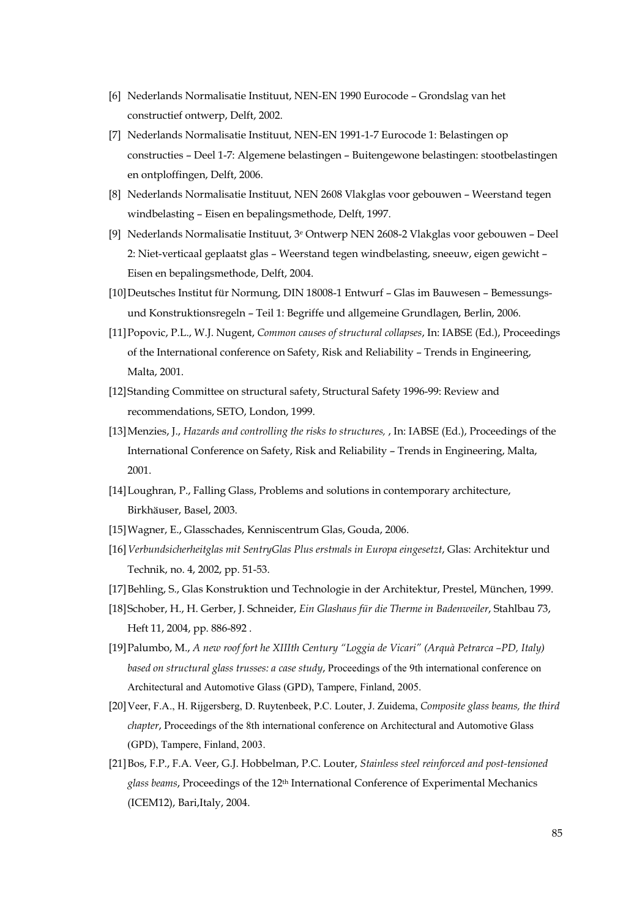- [6] Nederlands Normalisatie Instituut, NEN-EN 1990 Eurocode Grondslag van het constructief ontwerp, Delft, 2002.
- [7] Nederlands Normalisatie Instituut, NEN-EN 1991-1-7 Eurocode 1: Belastingen op constructies – Deel 1-7: Algemene belastingen – Buitengewone belastingen: stootbelastingen en ontploffingen, Delft, 2006.
- [8] Nederlands Normalisatie Instituut, NEN 2608 Vlakglas voor gebouwen Weerstand tegen windbelasting – Eisen en bepalingsmethode, Delft, 1997.
- [9] Nederlands Normalisatie Instituut, 3e Ontwerp NEN 2608-2 Vlakglas voor gebouwen Deel 2: Niet-verticaal geplaatst glas – Weerstand tegen windbelasting, sneeuw, eigen gewicht – Eisen en bepalingsmethode, Delft, 2004.
- [10]Deutsches Institut für Normung, DIN 18008-1 Entwurf Glas im Bauwesen Bemessungsund Konstruktionsregeln – Teil 1: Begriffe und allgemeine Grundlagen, Berlin, 2006.
- [11]Popovic, P.L., W.J. Nugent, *Common causes of structural collapses*, In: IABSE (Ed.), Proceedings of the International conference on Safety, Risk and Reliability – Trends in Engineering, Malta, 2001.
- [12]Standing Committee on structural safety, Structural Safety 1996-99: Review and recommendations, SETO, London, 1999.
- [13]Menzies, J., *Hazards and controlling the risks to structures,* , In: IABSE (Ed.), Proceedings of the International Conference on Safety, Risk and Reliability – Trends in Engineering, Malta, 2001.
- [14]Loughran, P., Falling Glass, Problems and solutions in contemporary architecture, Birkhäuser, Basel, 2003.
- [15]Wagner, E., Glasschades, Kenniscentrum Glas, Gouda, 2006.
- [16]*Verbundsicherheitglas mit SentryGlas Plus erstmals in Europa eingesetzt*, Glas: Architektur und Technik, no. 4, 2002, pp. 51-53.
- [17]Behling, S., Glas Konstruktion und Technologie in der Architektur, Prestel, München, 1999.
- [18]Schober, H., H. Gerber, J. Schneider, *Ein Glashaus für die Therme in Badenweiler*, Stahlbau 73, Heft 11, 2004, pp. 886-892 .
- [19]Palumbo, M., *A new roof fort he XIIIth Century "Loggia de Vicari" (Arquà Petrarca –PD, Italy) based on structural glass trusses: a case study*, Proceedings of the 9th international conference on Architectural and Automotive Glass (GPD), Tampere, Finland, 2005.
- [20]Veer, F.A., H. Rijgersberg, D. Ruytenbeek, P.C. Louter, J. Zuidema, *Composite glass beams, the third chapter*, Proceedings of the 8th international conference on Architectural and Automotive Glass (GPD), Tampere, Finland, 2003.
- [21]Bos, F.P., F.A. Veer, G.J. Hobbelman, P.C. Louter, *Stainless steel reinforced and post-tensioned glass beams*, Proceedings of the 12th International Conference of Experimental Mechanics (ICEM12), Bari,Italy, 2004.